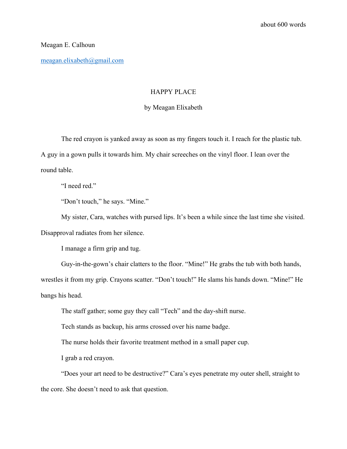## Meagan E. Calhoun

meagan.elixabeth@gmail.com

## HAPPY PLACE

## by Meagan Elixabeth

The red crayon is yanked away as soon as my fingers touch it. I reach for the plastic tub. A guy in a gown pulls it towards him. My chair screeches on the vinyl floor. I lean over the round table.

"I need red."

"Don't touch," he says. "Mine."

My sister, Cara, watches with pursed lips. It's been a while since the last time she visited.

Disapproval radiates from her silence.

I manage a firm grip and tug.

Guy-in-the-gown's chair clatters to the floor. "Mine!" He grabs the tub with both hands,

wrestles it from my grip. Crayons scatter. "Don't touch!" He slams his hands down. "Mine!" He bangs his head.

The staff gather; some guy they call "Tech" and the day-shift nurse.

Tech stands as backup, his arms crossed over his name badge.

The nurse holds their favorite treatment method in a small paper cup.

I grab a red crayon.

"Does your art need to be destructive?" Cara's eyes penetrate my outer shell, straight to the core. She doesn't need to ask that question.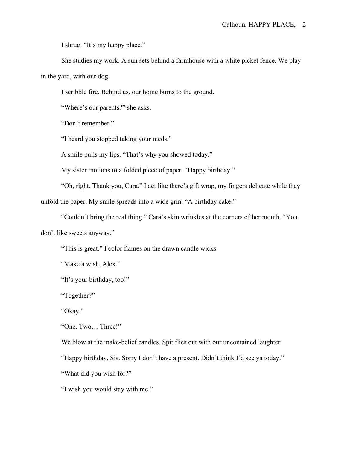I shrug. "It's my happy place."

She studies my work. A sun sets behind a farmhouse with a white picket fence. We play in the yard, with our dog.

I scribble fire. Behind us, our home burns to the ground.

"Where's our parents?" she asks.

"Don't remember."

"I heard you stopped taking your meds."

A smile pulls my lips. "That's why you showed today."

My sister motions to a folded piece of paper. "Happy birthday."

"Oh, right. Thank you, Cara." I act like there's gift wrap, my fingers delicate while they

unfold the paper. My smile spreads into a wide grin. "A birthday cake."

"Couldn't bring the real thing." Cara's skin wrinkles at the corners of her mouth. "You

don't like sweets anyway."

"This is great." I color flames on the drawn candle wicks.

"Make a wish, Alex."

"It's your birthday, too!"

"Together?"

"Okay."

"One. Two… Three!"

We blow at the make-belief candles. Spit flies out with our uncontained laughter.

"Happy birthday, Sis. Sorry I don't have a present. Didn't think I'd see ya today."

"What did you wish for?"

"I wish you would stay with me."